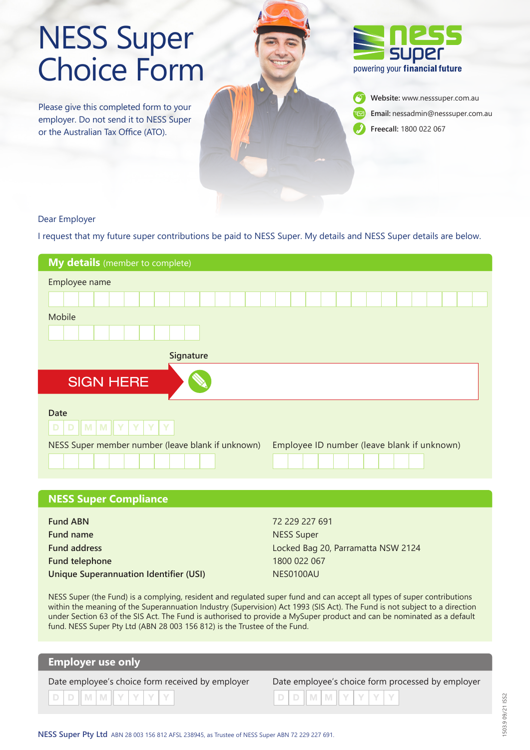# NESS Super Choice Form

Please give this completed form to your employer. Do not send it to NESS Super or the Australian Tax Office (ATO).



**Website:** www.nesssuper.com.au **Email:** nessadmin@nesssuper.com.au **Freecall:** 1800 022 067

#### Dear Employer

I request that my future super contributions be paid to NESS Super. My details and NESS Super details are below.

| My details (member to complete)                                                                  |  |  |  |  |  |  |  |  |  |  |  |  |
|--------------------------------------------------------------------------------------------------|--|--|--|--|--|--|--|--|--|--|--|--|
| Employee name                                                                                    |  |  |  |  |  |  |  |  |  |  |  |  |
|                                                                                                  |  |  |  |  |  |  |  |  |  |  |  |  |
| Mobile                                                                                           |  |  |  |  |  |  |  |  |  |  |  |  |
|                                                                                                  |  |  |  |  |  |  |  |  |  |  |  |  |
| Signature                                                                                        |  |  |  |  |  |  |  |  |  |  |  |  |
| <b>SIGN HERE</b>                                                                                 |  |  |  |  |  |  |  |  |  |  |  |  |
| <b>Date</b><br>D<br>D<br><b>M M Y</b><br>Y<br>Y<br>Y                                             |  |  |  |  |  |  |  |  |  |  |  |  |
| NESS Super member number (leave blank if unknown)<br>Employee ID number (leave blank if unknown) |  |  |  |  |  |  |  |  |  |  |  |  |

| 72 229 227 691                     |
|------------------------------------|
| NESS Super                         |
| Locked Bag 20, Parramatta NSW 2124 |
| 1800 022 067                       |
| NES0100AU                          |
|                                    |

NESS Super (the Fund) is a complying, resident and regulated super fund and can accept all types of super contributions within the meaning of the Superannuation Industry (Supervision) Act 1993 (SIS Act). The Fund is not subject to a direction under Section 63 of the SIS Act. The Fund is authorised to provide a MySuper product and can be nominated as a default fund. NESS Super Pty Ltd (ABN 28 003 156 812) is the Trustee of the Fund.

#### **Employer use only**

**NESS Super Compliance**

Date employee's choice form received by employer Date employee's choice form processed by employer

| ate employee's choice form received by employer |  |  |  |                                   |  |  |  | Date employee's choice form processed |  |  |  |  |  |  |  |  |
|-------------------------------------------------|--|--|--|-----------------------------------|--|--|--|---------------------------------------|--|--|--|--|--|--|--|--|
|                                                 |  |  |  | $D   D   M   M   Y   Y   Y   Y  $ |  |  |  | DDMMYYYY                              |  |  |  |  |  |  |  |  |